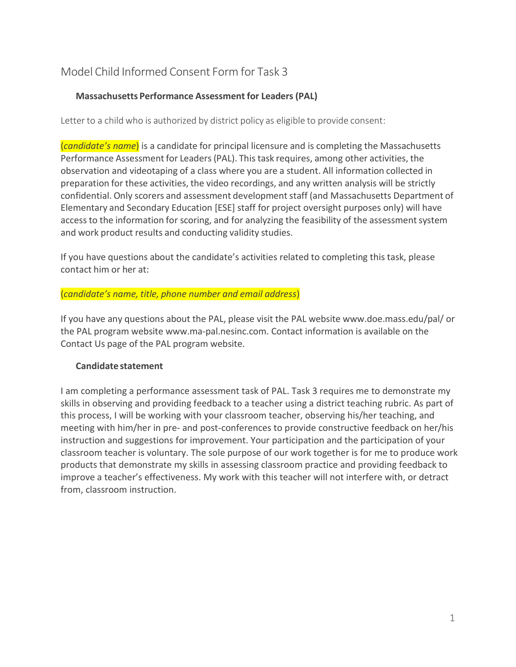## Model Child Informed Consent Form for Task 3

## **Massachusetts Performance Assessment for Leaders (PAL)**

Letter to a child who is authorized by district policy as eligible to provide consent:

(*candidate's name*) is a candidate for principal licensure and is completing the Massachusetts Performance Assessment for Leaders(PAL). This task requires, among other activities, the observation and videotaping of a class where you are a student. All information collected in preparation for these activities, the video recordings, and any written analysis will be strictly confidential. Only scorers and assessment development staff (and Massachusetts Department of Elementary and Secondary Education [ESE] staff for project oversight purposes only) will have access to the information for scoring, and for analyzing the feasibility of the assessment system and work product results and conducting validity studies.

If you have questions about the candidate's activities related to completing this task, please contact him or her at:

#### (*candidate's name, title, phone number and email address*)

If you have any questions about the PAL, please visit the PAL website www.doe.mass.edu/pal/ or the PAL program website www.ma-pal.nesinc.com. Contact information is available on the Contact Us page of the PAL program website.

## **Candidate statement**

I am completing a performance assessment task of PAL. Task 3 requires me to demonstrate my skills in observing and providing feedback to a teacher using a district teaching rubric. As part of this process, I will be working with your classroom teacher, observing his/her teaching, and meeting with him/her in pre- and post-conferences to provide constructive feedback on her/his instruction and suggestions for improvement. Your participation and the participation of your classroom teacher is voluntary. The sole purpose of our work together is for me to produce work products that demonstrate my skills in assessing classroom practice and providing feedback to improve a teacher's effectiveness. My work with this teacher will not interfere with, or detract from, classroom instruction.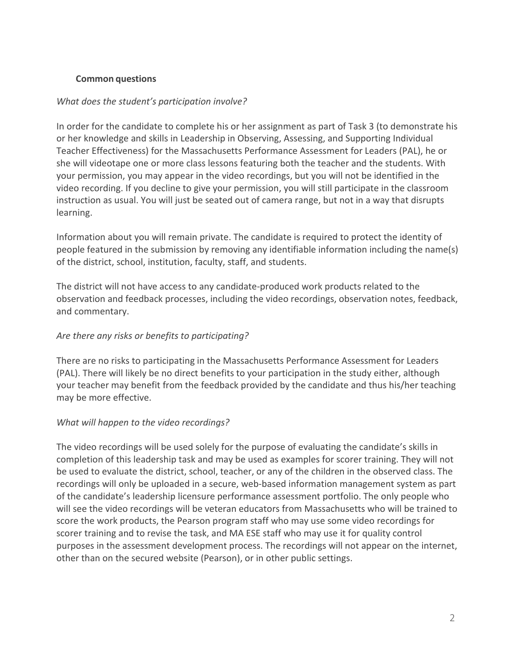## **Common questions**

## *What does the student's participation involve?*

In order for the candidate to complete his or her assignment as part of Task 3 (to demonstrate his or her knowledge and skills in Leadership in Observing, Assessing, and Supporting Individual Teacher Effectiveness) for the Massachusetts Performance Assessment for Leaders (PAL), he or she will videotape one or more class lessons featuring both the teacher and the students. With your permission, you may appear in the video recordings, but you will not be identified in the video recording. If you decline to give your permission, you will still participate in the classroom instruction as usual. You will just be seated out of camera range, but not in a way that disrupts learning.

Information about you will remain private. The candidate is required to protect the identity of people featured in the submission by removing any identifiable information including the name(s) of the district, school, institution, faculty, staff, and students.

The district will not have access to any candidate-produced work products related to the observation and feedback processes, including the video recordings, observation notes, feedback, and commentary.

## *Are there any risks or benefits to participating?*

There are no risks to participating in the Massachusetts Performance Assessment for Leaders (PAL). There will likely be no direct benefits to your participation in the study either, although your teacher may benefit from the feedback provided by the candidate and thus his/her teaching may be more effective.

## *What will happen to the video recordings?*

The video recordings will be used solely for the purpose of evaluating the candidate's skills in completion of this leadership task and may be used as examples for scorer training. They will not be used to evaluate the district, school, teacher, or any of the children in the observed class. The recordings will only be uploaded in a secure, web-based information management system as part of the candidate's leadership licensure performance assessment portfolio. The only people who will see the video recordings will be veteran educators from Massachusetts who will be trained to score the work products, the Pearson program staff who may use some video recordings for scorer training and to revise the task, and MA ESE staff who may use it for quality control purposes in the assessment development process. The recordings will not appear on the internet, other than on the secured website (Pearson), or in other public settings.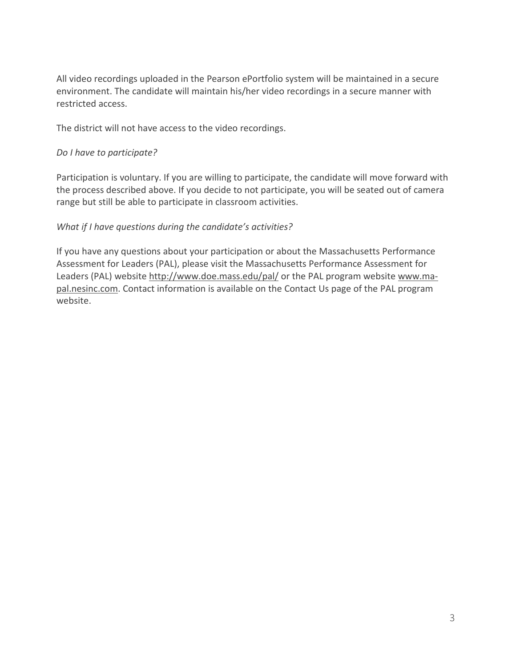All video recordings uploaded in the Pearson ePortfolio system will be maintained in a secure environment. The candidate will maintain his/her video recordings in a secure manner with restricted access.

The district will not have access to the video recordings.

#### *Do I have to participate?*

Participation is voluntary. If you are willing to participate, the candidate will move forward with the process described above. If you decide to not participate, you will be seated out of camera range but still be able to participate in classroom activities.

## *What if I have questions during the candidate's activities?*

If you have any questions about your participation or about the Massachusetts Performance Assessment for Leaders (PAL), please visit the Massachusetts Performance Assessment for Leaders (PAL) website<http://www.doe.mass.edu/pal/> or the PAL program website [www.ma](http://www.ma-pal.nesinc.com/)[pal.nesinc.com.](http://www.ma-pal.nesinc.com/) Contact information is available on the Contact Us page of the PAL program website.